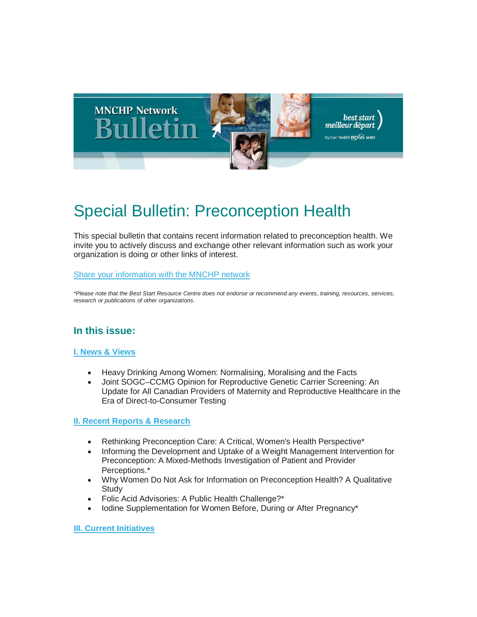

# Special Bulletin: Preconception Health

This special bulletin that contains recent information related to preconception health. We invite you to actively discuss and exchange other relevant information such as work your organization is doing or other links of interest.

#### [Share your information with the MNCHP network](mailto:%20mnchp@healthnexus.ca)

*\*Please note that the Best Start Resource Centre does not endorse or recommend any events, training, resources, services, research or publications of other organizations.*

# **In this issue:**

#### **[I. News & Views](#page-1-0)**

- Heavy Drinking Among Women: Normalising, Moralising and the Facts
- Joint SOGC–CCMG Opinion for Reproductive Genetic Carrier Screening: An Update for All Canadian Providers of Maternity and Reproductive Healthcare in the Era of Direct-to-Consumer Testing

#### **[II. Recent Reports & Research](#page-2-0)**

- Rethinking Preconception Care: A Critical, Women's Health Perspective\*
- Informing the Development and Uptake of a Weight Management Intervention for Preconception: A Mixed-Methods Investigation of Patient and Provider Perceptions.\*
- Why Women Do Not Ask for Information on Preconception Health? A Qualitative **Study**
- Folic Acid Advisories: A Public Health Challenge?\*
- Iodine Supplementation for Women Before, During or After Pregnancy\*

**[III. Current Initiatives](#page-7-0)**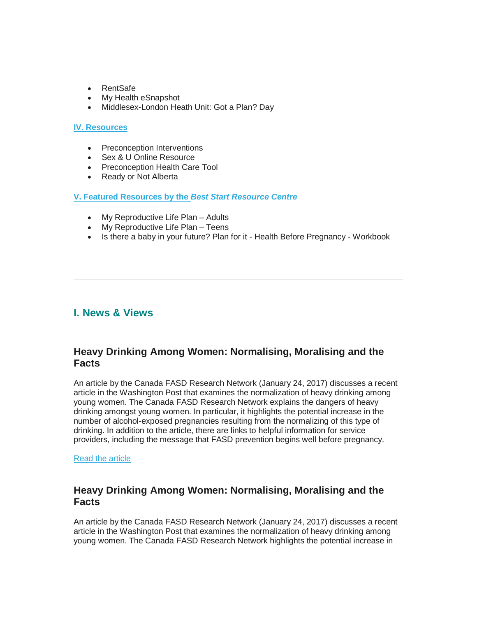- RentSafe
- My Health eSnapshot
- Middlesex-London Heath Unit: Got a Plan? Day

#### **[IV. Resources](#page-8-0)**

- Preconception Interventions
- Sex & U Online Resource
- Preconception Health Care Tool
- Ready or Not Alberta

#### **[V. Featured Resources by the](#page-9-0)** *Best Start Resource Centre*

- My Reproductive Life Plan Adults
- My Reproductive Life Plan Teens
- Is there a baby in your future? Plan for it Health Before Pregnancy Workbook

### <span id="page-1-0"></span>**I. News & Views**

### **Heavy Drinking Among Women: Normalising, Moralising and the Facts**

An article by the Canada FASD Research Network (January 24, 2017) discusses a recent article in the Washington Post that examines the normalization of heavy drinking among young women. The Canada FASD Research Network explains the dangers of heavy drinking amongst young women. In particular, it highlights the potential increase in the number of alcohol-exposed pregnancies resulting from the normalizing of this type of drinking. In addition to the article, there are links to helpful information for service providers, including the message that FASD prevention begins well before pregnancy.

#### [Read the article](https://fasdprevention.wordpress.com/)

### **Heavy Drinking Among Women: Normalising, Moralising and the Facts**

An article by the Canada FASD Research Network (January 24, 2017) discusses a recent article in the Washington Post that examines the normalization of heavy drinking among young women. The Canada FASD Research Network highlights the potential increase in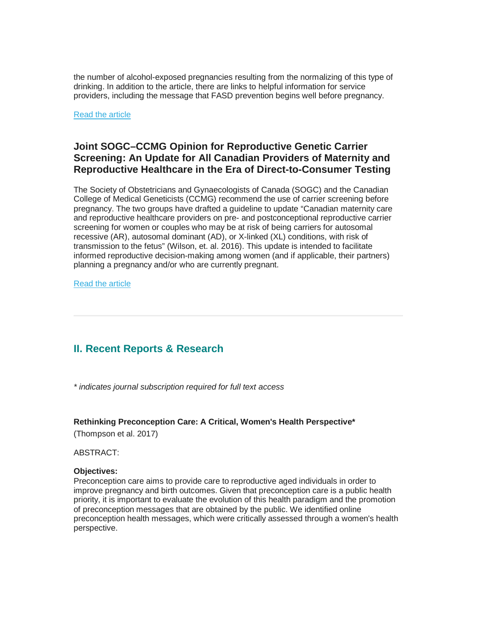the number of alcohol-exposed pregnancies resulting from the normalizing of this type of drinking. In addition to the article, there are links to helpful information for service providers, including the message that FASD prevention begins well before pregnancy.

[Read the article](https://fasdprevention.wordpress.com/)

### **Joint SOGC–CCMG Opinion for Reproductive Genetic Carrier Screening: An Update for All Canadian Providers of Maternity and Reproductive Healthcare in the Era of Direct-to-Consumer Testing**

The Society of Obstetricians and Gynaecologists of Canada (SOGC) and the Canadian College of Medical Geneticists (CCMG) recommend the use of carrier screening before pregnancy. The two groups have drafted a guideline to update "Canadian maternity care and reproductive healthcare providers on pre- and postconceptional reproductive carrier screening for women or couples who may be at risk of being carriers for autosomal recessive (AR), autosomal dominant (AD), or X-linked (XL) conditions, with risk of transmission to the fetus" (Wilson, et. al. 2016). This update is intended to facilitate informed reproductive decision-making among women (and if applicable, their partners) planning a pregnancy and/or who are currently pregnant.

[Read the article](http://www.jogc.com/article/S1701-2163(16)39347-1/fulltext)

# <span id="page-2-0"></span>**II. Recent Reports & Research**

*\* indicates journal subscription required for full text access*

#### **Rethinking Preconception Care: A Critical, Women's Health Perspective\***

(Thompson et al. 2017)

ABSTRACT:

#### **Objectives:**

Preconception care aims to provide care to reproductive aged individuals in order to improve pregnancy and birth outcomes. Given that preconception care is a public health priority, it is important to evaluate the evolution of this health paradigm and the promotion of preconception messages that are obtained by the public. We identified online preconception health messages, which were critically assessed through a women's health perspective.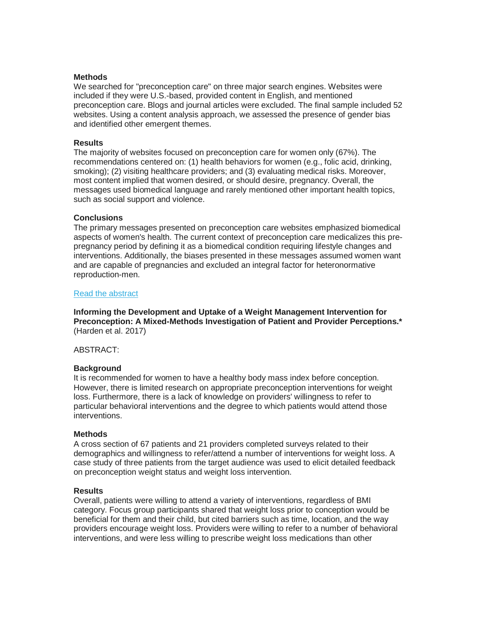#### **Methods**

We searched for "preconception care" on three major search engines. Websites were included if they were U.S.-based, provided content in English, and mentioned preconception care. Blogs and journal articles were excluded. The final sample included 52 websites. Using a content analysis approach, we assessed the presence of gender bias and identified other emergent themes.

#### **Results**

The majority of websites focused on preconception care for women only (67%). The recommendations centered on: (1) health behaviors for women (e.g., folic acid, drinking, smoking); (2) visiting healthcare providers; and (3) evaluating medical risks. Moreover, most content implied that women desired, or should desire, pregnancy. Overall, the messages used biomedical language and rarely mentioned other important health topics, such as social support and violence.

#### **Conclusions**

The primary messages presented on preconception care websites emphasized biomedical aspects of women's health. The current context of preconception care medicalizes this prepregnancy period by defining it as a biomedical condition requiring lifestyle changes and interventions. Additionally, the biases presented in these messages assumed women want and are capable of pregnancies and excluded an integral factor for heteronormative reproduction-men.

#### [Read the abstract](https://www.ncbi.nlm.nih.gov/pubmed/28078529)

**Informing the Development and Uptake of a Weight Management Intervention for Preconception: A Mixed-Methods Investigation of Patient and Provider Perceptions.\*** (Harden et al. 2017)

#### ABSTRACT:

#### **Background**

It is recommended for women to have a healthy body mass index before conception. However, there is limited research on appropriate preconception interventions for weight loss. Furthermore, there is a lack of knowledge on providers' willingness to refer to particular behavioral interventions and the degree to which patients would attend those interventions.

#### **Methods**

A cross section of 67 patients and 21 providers completed surveys related to their demographics and willingness to refer/attend a number of interventions for weight loss. A case study of three patients from the target audience was used to elicit detailed feedback on preconception weight status and weight loss intervention.

#### **Results**

Overall, patients were willing to attend a variety of interventions, regardless of BMI category. Focus group participants shared that weight loss prior to conception would be beneficial for them and their child, but cited barriers such as time, location, and the way providers encourage weight loss. Providers were willing to refer to a number of behavioral interventions, and were less willing to prescribe weight loss medications than other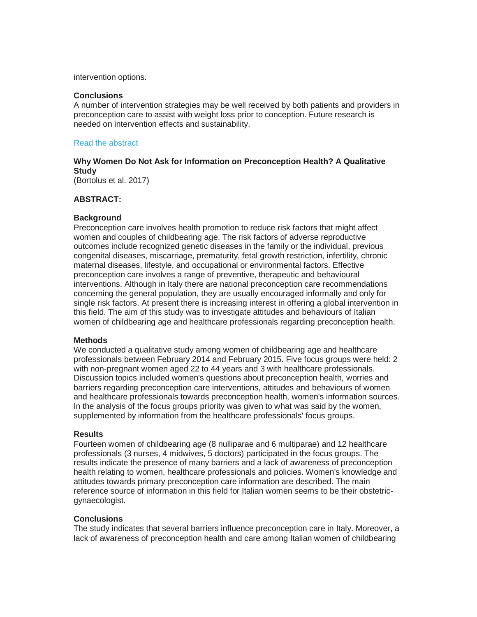intervention options.

#### **Conclusions**

A number of intervention strategies may be well received by both patients and providers in preconception care to assist with weight loss prior to conception. Future research is needed on intervention effects and sustainability.

#### [Read the abstract](https://www.ncbi.nlm.nih.gov/pubmed/28191322)

### **Why Women Do Not Ask for Information on Preconception Health? A Qualitative Study**

(Bortolus et al. 2017)

#### **ABSTRACT:**

#### **Background**

Preconception care involves health promotion to reduce risk factors that might affect women and couples of childbearing age. The risk factors of adverse reproductive outcomes include recognized genetic diseases in the family or the individual, previous congenital diseases, miscarriage, prematurity, fetal growth restriction, infertility, chronic maternal diseases, lifestyle, and occupational or environmental factors. Effective preconception care involves a range of preventive, therapeutic and behavioural interventions. Although in Italy there are national preconception care recommendations concerning the general population, they are usually encouraged informally and only for single risk factors. At present there is increasing interest in offering a global intervention in this field. The aim of this study was to investigate attitudes and behaviours of Italian women of childbearing age and healthcare professionals regarding preconception health.

#### **Methods**

We conducted a qualitative study among women of childbearing age and healthcare professionals between February 2014 and February 2015. Five focus groups were held: 2 with non-pregnant women aged 22 to 44 years and 3 with healthcare professionals. Discussion topics included women's questions about preconception health, worries and barriers regarding preconception care interventions, attitudes and behaviours of women and healthcare professionals towards preconception health, women's information sources. In the analysis of the focus groups priority was given to what was said by the women, supplemented by information from the healthcare professionals' focus groups.

#### **Results**

Fourteen women of childbearing age (8 nulliparae and 6 multiparae) and 12 healthcare professionals (3 nurses, 4 midwives, 5 doctors) participated in the focus groups. The results indicate the presence of many barriers and a lack of awareness of preconception health relating to women, healthcare professionals and policies. Women's knowledge and attitudes towards primary preconception care information are described. The main reference source of information in this field for Italian women seems to be their obstetricgynaecologist.

#### **Conclusions**

The study indicates that several barriers influence preconception care in Italy. Moreover, a lack of awareness of preconception health and care among Italian women of childbearing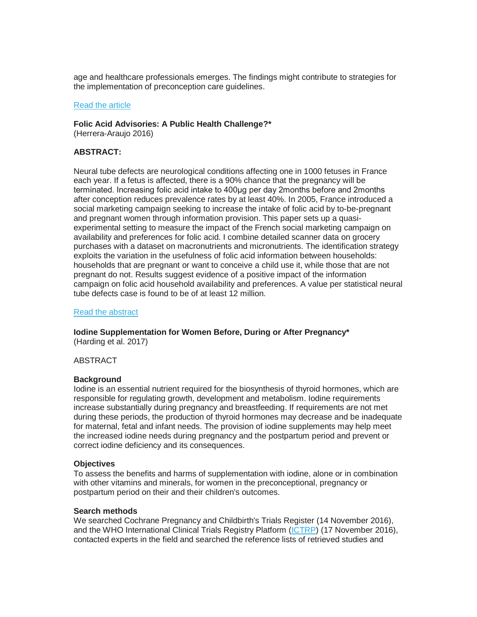age and healthcare professionals emerges. The findings might contribute to strategies for the implementation of preconception care guidelines.

#### [Read the article](https://www.ncbi.nlm.nih.gov/pmc/articles/PMC5217233/)

#### **Folic Acid Advisories: A Public Health Challenge?\***

(Herrera-Araujo 2016)

#### **ABSTRACT:**

Neural tube defects are neurological conditions affecting one in 1000 fetuses in France each year. If a fetus is affected, there is a 90% chance that the pregnancy will be terminated. Increasing folic acid intake to 400μg per day 2months before and 2months after conception reduces prevalence rates by at least 40%. In 2005, France introduced a social marketing campaign seeking to increase the intake of folic acid by to-be-pregnant and pregnant women through information provision. This paper sets up a quasiexperimental setting to measure the impact of the French social marketing campaign on availability and preferences for folic acid. I combine detailed scanner data on grocery purchases with a dataset on macronutrients and micronutrients. The identification strategy exploits the variation in the usefulness of folic acid information between households: households that are pregnant or want to conceive a child use it, while those that are not pregnant do not. Results suggest evidence of a positive impact of the information campaign on folic acid household availability and preferences. A value per statistical neural tube defects case is found to be of at least 12 million.

#### [Read the abstract](https://www.ncbi.nlm.nih.gov/pubmed/27270606)

#### **Iodine Supplementation for Women Before, During or After Pregnancy\*** (Harding et al. 2017)

ABSTRACT

#### **Background**

Iodine is an essential nutrient required for the biosynthesis of thyroid hormones, which are responsible for regulating growth, development and metabolism. Iodine requirements increase substantially during pregnancy and breastfeeding. If requirements are not met during these periods, the production of thyroid hormones may decrease and be inadequate for maternal, fetal and infant needs. The provision of iodine supplements may help meet the increased iodine needs during pregnancy and the postpartum period and prevent or correct iodine deficiency and its consequences.

#### **Objectives**

To assess the benefits and harms of supplementation with iodine, alone or in combination with other vitamins and minerals, for women in the preconceptional, pregnancy or postpartum period on their and their children's outcomes.

#### **Search methods**

We searched Cochrane Pregnancy and Childbirth's Trials Register (14 November 2016), and the WHO International Clinical Trials Registry Platform [\(ICTRP\)](http://apps.who.int/trialsearch/) (17 November 2016), contacted experts in the field and searched the reference lists of retrieved studies and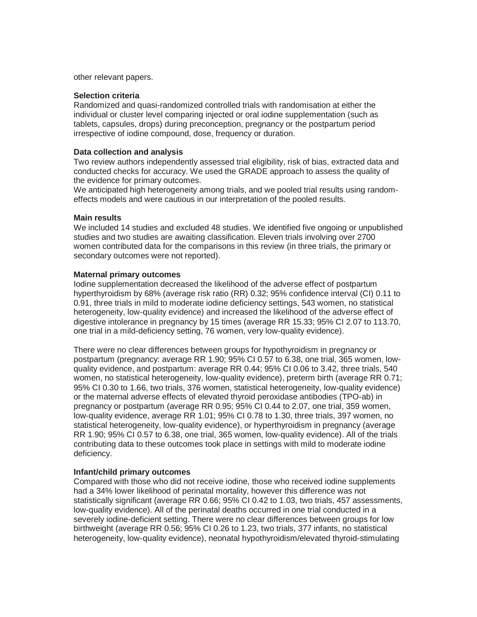other relevant papers.

#### **Selection criteria**

Randomized and quasi-randomized controlled trials with randomisation at either the individual or cluster level comparing injected or oral iodine supplementation (such as tablets, capsules, drops) during preconception, pregnancy or the postpartum period irrespective of iodine compound, dose, frequency or duration.

#### **Data collection and analysis**

Two review authors independently assessed trial eligibility, risk of bias, extracted data and conducted checks for accuracy. We used the GRADE approach to assess the quality of the evidence for primary outcomes.

We anticipated high heterogeneity among trials, and we pooled trial results using randomeffects models and were cautious in our interpretation of the pooled results.

#### **Main results**

We included 14 studies and excluded 48 studies. We identified five ongoing or unpublished studies and two studies are awaiting classification. Eleven trials involving over 2700 women contributed data for the comparisons in this review (in three trials, the primary or secondary outcomes were not reported).

#### **Maternal primary outcomes**

Iodine supplementation decreased the likelihood of the adverse effect of postpartum hyperthyroidism by 68% (average risk ratio (RR) 0.32; 95% confidence interval (CI) 0.11 to 0.91, three trials in mild to moderate iodine deficiency settings, 543 women, no statistical heterogeneity, low-quality evidence) and increased the likelihood of the adverse effect of digestive intolerance in pregnancy by 15 times (average RR 15.33; 95% CI 2.07 to 113.70, one trial in a mild-deficiency setting, 76 women, very low-quality evidence).

There were no clear differences between groups for hypothyroidism in pregnancy or postpartum (pregnancy: average RR 1.90; 95% CI 0.57 to 6.38, one trial, 365 women, lowquality evidence, and postpartum: average RR 0.44; 95% CI 0.06 to 3.42, three trials, 540 women, no statistical heterogeneity, low-quality evidence), preterm birth (average RR 0.71; 95% CI 0.30 to 1.66, two trials, 376 women, statistical heterogeneity, low-quality evidence) or the maternal adverse effects of elevated thyroid peroxidase antibodies (TPO-ab) in pregnancy or postpartum (average RR 0.95; 95% CI 0.44 to 2.07, one trial, 359 women, low-quality evidence, average RR 1.01; 95% CI 0.78 to 1.30, three trials, 397 women, no statistical heterogeneity, low-quality evidence), or hyperthyroidism in pregnancy (average RR 1.90; 95% CI 0.57 to 6.38, one trial, 365 women, low-quality evidence). All of the trials contributing data to these outcomes took place in settings with mild to moderate iodine deficiency.

#### **Infant/child primary outcomes**

Compared with those who did not receive iodine, those who received iodine supplements had a 34% lower likelihood of perinatal mortality, however this difference was not statistically significant (average RR 0.66; 95% CI 0.42 to 1.03, two trials, 457 assessments, low-quality evidence). All of the perinatal deaths occurred in one trial conducted in a severely iodine-deficient setting. There were no clear differences between groups for low birthweight (average RR 0.56; 95% CI 0.26 to 1.23, two trials, 377 infants, no statistical heterogeneity, low-quality evidence), neonatal hypothyroidism/elevated thyroid-stimulating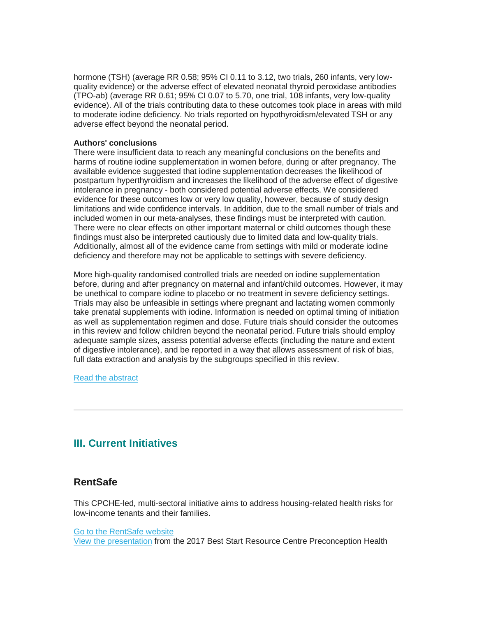hormone (TSH) (average RR 0.58; 95% CI 0.11 to 3.12, two trials, 260 infants, very lowquality evidence) or the adverse effect of elevated neonatal thyroid peroxidase antibodies (TPO-ab) (average RR 0.61; 95% CI 0.07 to 5.70, one trial, 108 infants, very low-quality evidence). All of the trials contributing data to these outcomes took place in areas with mild to moderate iodine deficiency. No trials reported on hypothyroidism/elevated TSH or any adverse effect beyond the neonatal period.

#### **Authors' conclusions**

There were insufficient data to reach any meaningful conclusions on the benefits and harms of routine iodine supplementation in women before, during or after pregnancy. The available evidence suggested that iodine supplementation decreases the likelihood of postpartum hyperthyroidism and increases the likelihood of the adverse effect of digestive intolerance in pregnancy - both considered potential adverse effects. We considered evidence for these outcomes low or very low quality, however, because of study design limitations and wide confidence intervals. In addition, due to the small number of trials and included women in our meta-analyses, these findings must be interpreted with caution. There were no clear effects on other important maternal or child outcomes though these findings must also be interpreted cautiously due to limited data and low-quality trials. Additionally, almost all of the evidence came from settings with mild or moderate iodine deficiency and therefore may not be applicable to settings with severe deficiency.

More high-quality randomised controlled trials are needed on iodine supplementation before, during and after pregnancy on maternal and infant/child outcomes. However, it may be unethical to compare iodine to placebo or no treatment in severe deficiency settings. Trials may also be unfeasible in settings where pregnant and lactating women commonly take prenatal supplements with iodine. Information is needed on optimal timing of initiation as well as supplementation regimen and dose. Future trials should consider the outcomes in this review and follow children beyond the neonatal period. Future trials should employ adequate sample sizes, assess potential adverse effects (including the nature and extent of digestive intolerance), and be reported in a way that allows assessment of risk of bias, full data extraction and analysis by the subgroups specified in this review.

[Read the abstract](http://onlinelibrary.wiley.com/doi/10.1002/14651858.CD011761.pub2/abstract;jsessionid=F3E7FE98C5337FCDFD6DF6FA58AB37D2.f03t01)

# <span id="page-7-0"></span>**III. Current Initiatives**

### **RentSafe**

This CPCHE-led, multi-sectoral initiative aims to address housing-related health risks for low-income tenants and their families.

[Go to the RentSafe website](http://www.healthyenvironmentforkids.ca/collections/rentsafe)

[View the presentation](http://en.beststart.org/sites/en.beststart.org/files/u4/PC3-RentSafe-Phipps.pdf) from the 2017 Best Start Resource Centre Preconception Health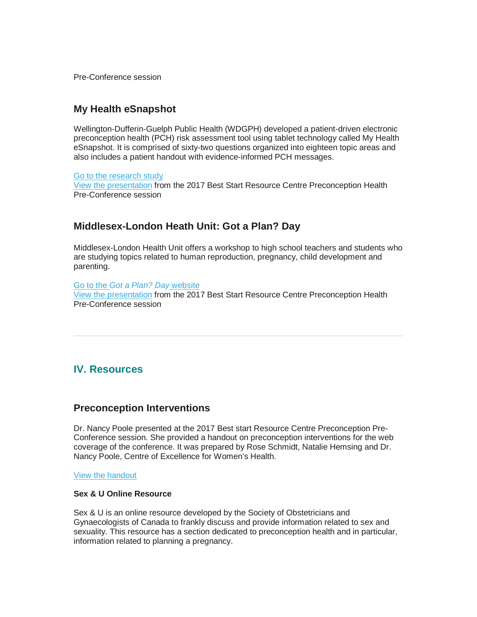Pre-Conference session

### **My Health eSnapshot**

Wellington-Dufferin-Guelph Public Health (WDGPH) developed a patient-driven electronic preconception health (PCH) risk assessment tool using tablet technology called My Health eSnapshot. It is comprised of sixty-two questions organized into eighteen topic areas and also includes a patient handout with evidence-informed PCH messages.

#### [Go to the research study](https://wdgpublichealth.ca/board-health/board-health-meetings/may-4-2016-agenda/my-health-esnapshot-preconception-health)

[View the presentation](http://en.beststart.org/sites/en.beststart.org/files/u4/PC3-My-Health-eSnapshot.pdf) from the 2017 Best Start Resource Centre Preconception Health Pre-Conference session

### **Middlesex-London Heath Unit: Got a Plan? Day**

Middlesex-London Health Unit offers a workshop to high school teachers and students who are studying topics related to human reproduction, pregnancy, child development and parenting.

Go to the *[Got a Plan? Day](https://www.healthunit.com/got-a-plan-day)* website [View the presentation](http://en.beststart.org/sites/en.beststart.org/files/u4/PC3-Got-a-plan.pdf) from the 2017 Best Start Resource Centre Preconception Health Pre-Conference session

# <span id="page-8-0"></span>**IV. Resources**

### **Preconception Interventions**

Dr. Nancy Poole presented at the 2017 Best start Resource Centre Preconception Pre-Conference session. She provided a handout on preconception interventions for the web coverage of the conference. It was prepared by Rose Schmidt, Natalie Hemsing and Dr. Nancy Poole, Centre of Excellence for Women's Health.

#### [View the handout](http://en.beststart.org/sites/en.beststart.org/files/u4/PC3-Preconception-Interventions-Poole.pdf)

#### **Sex & U Online Resource**

Sex & U is an online resource developed by the Society of Obstetricians and Gynaecologists of Canada to frankly discuss and provide information related to sex and sexuality. This resource has a section dedicated to preconception health and in particular, information related to planning a pregnancy.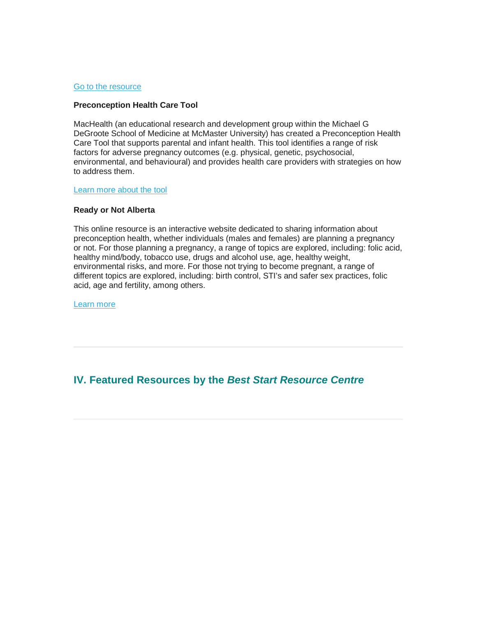#### [Go to the resource](http://www.sexandu.ca/pregnancy/planned-pregnancy/)

#### **Preconception Health Care Tool**

MacHealth (an educational research and development group within the Michael G DeGroote School of Medicine at McMaster University) has created a Preconception Health Care Tool that supports parental and infant health. This tool identifies a range of risk factors for adverse pregnancy outcomes (e.g. physical, genetic, psychosocial, environmental, and behavioural) and provides health care providers with strategies on how to address them.

#### [Learn more about the tool](https://thewellhealth.ca/preconception)

#### **Ready or Not Alberta**

This online resource is an interactive website dedicated to sharing information about preconception health, whether individuals (males and females) are planning a pregnancy or not. For those planning a pregnancy, a range of topics are explored, including: folic acid, healthy mind/body, tobacco use, drugs and alcohol use, age, healthy weight, environmental risks, and more. For those not trying to become pregnant, a range of different topics are explored, including: birth control, STI's and safer sex practices, folic acid, age and fertility, among others.

[Learn more](https://readyornotalberta.ca/notready/)

### <span id="page-9-0"></span>**IV. Featured Resources by the** *Best Start Resource Centre*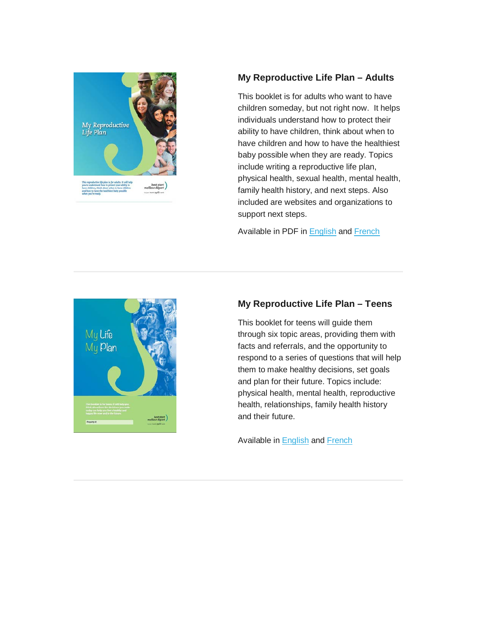

### **My Reproductive Life Plan – Adults**

This booklet is for adults who want to have children someday, but not right now. It helps individuals understand how to protect their ability to have children, think about when to have children and how to have the healthiest baby possible when they are ready. Topics include writing a reproductive life plan, physical health, sexual health, mental health, family health history, and next steps. Also included are websites and organizations to support next steps.

Available in PDF in [English](http://www.beststart.org/resources/preconception/AdultReproLifePlan_F18E.pdf) and [French](http://www.beststart.org/resources/preconception/PlandeVieConception_F18F.pdf)



### **My Reproductive Life Plan – Teens**

This booklet for teens will guide them through six topic areas, providing them with facts and referrals, and the opportunity to respond to a series of questions that will help them to make healthy decisions, set goals and plan for their future. Topics include: physical health, mental health, reproductive health, relationships, family health history and their future.

Available in [English](http://www.beststart.org/resources/preconception/MLMP_14MY01_Final.pdf) and [French](http://www.meilleurdepart.org/resources/preconception/pdf/MLMP_FR_14MY01_Final.pdf)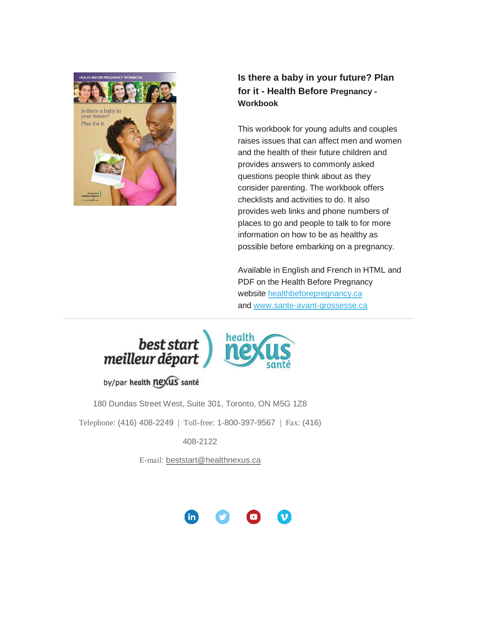

### **Is there a baby in your future? Plan for it - Health Before Pregnancy - Workbook**

This workbook for young adults and couples raises issues that can affect men and women and the health of their future children and provides answers to commonly asked questions people think about as they consider parenting. The workbook offers checklists and activities to do. It also provides web links and phone numbers of places to go and people to talk to for more information on how to be as healthy as possible before embarking on a pregnancy.

Available in English and French in HTML and PDF on the Health Before Pregnancy website [healthbeforepregnancy.ca](http://www.healthbeforepregnancy.ca/) and [www.sante-avant-grossesse.ca](http://www.sante-avant-grossesse.ca/)





by/par health nexus santé

180 Dundas Street West, Suite 301, Toronto, ON M5G 1Z8

Telephone: (416) 408-2249 | Toll-free: 1-800-397-9567 | Fax: (416)

408-2122

E-mail: [beststart@healthnexus.ca](mailto:beststart@healthnexus.ca?subject=Contact%20Us)